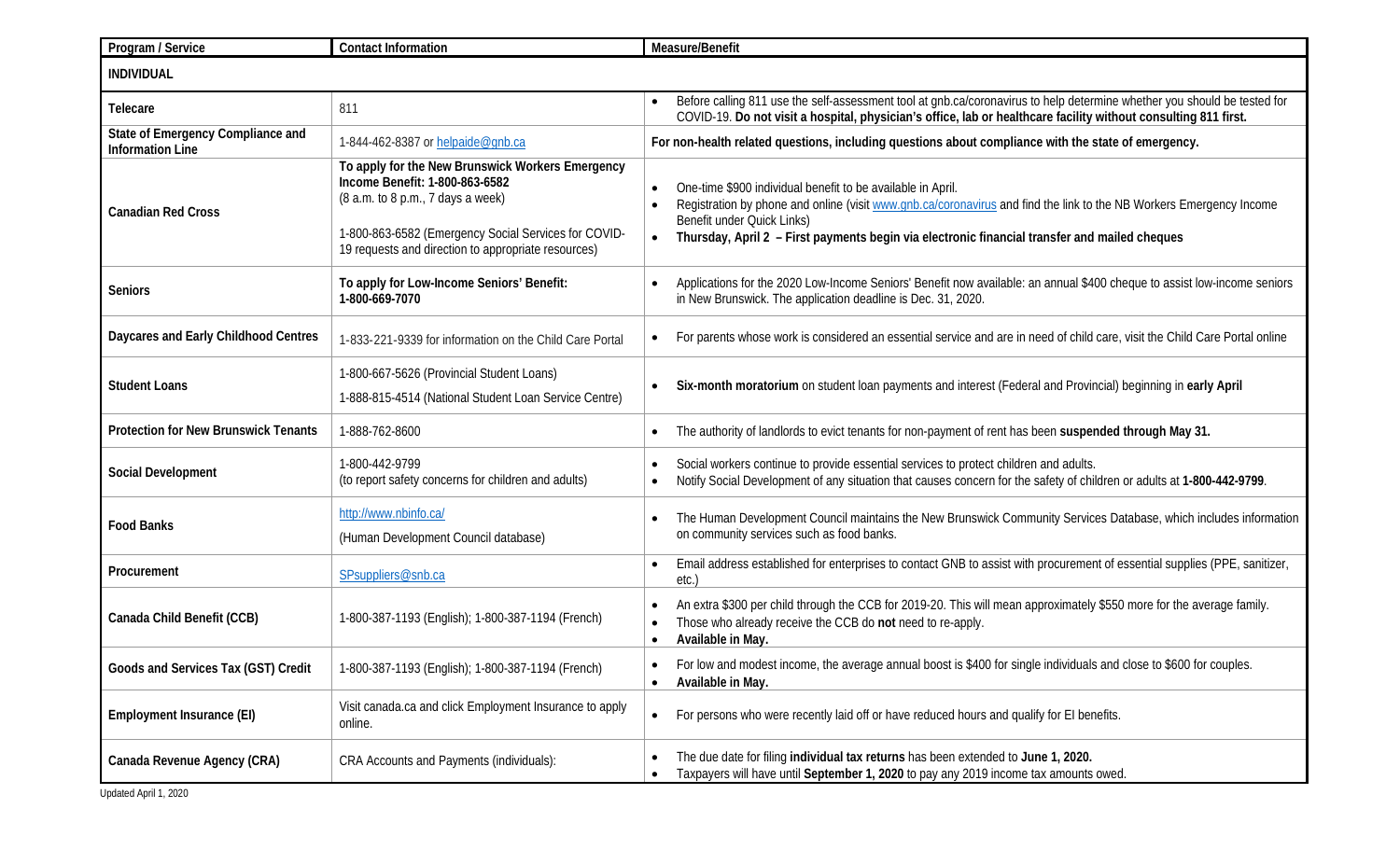| Program / Service                                            | <b>Contact Information</b>                                                                                                                                                                                                             | Measure/Benefit                                                                                                                                                                                                                                                                                                                                          |  |  |
|--------------------------------------------------------------|----------------------------------------------------------------------------------------------------------------------------------------------------------------------------------------------------------------------------------------|----------------------------------------------------------------------------------------------------------------------------------------------------------------------------------------------------------------------------------------------------------------------------------------------------------------------------------------------------------|--|--|
| <b>INDIVIDUAL</b>                                            |                                                                                                                                                                                                                                        |                                                                                                                                                                                                                                                                                                                                                          |  |  |
| Telecare                                                     | 811                                                                                                                                                                                                                                    | Before calling 811 use the self-assessment tool at gnb.ca/coronavirus to help determine whether you should be tested for<br>COVID-19. Do not visit a hospital, physician's office, lab or healthcare facility without consulting 811 first.                                                                                                              |  |  |
| State of Emergency Compliance and<br><b>Information Line</b> | 1-844-462-8387 or helpaide@gnb.ca                                                                                                                                                                                                      | For non-health related questions, including questions about compliance with the state of emergency.                                                                                                                                                                                                                                                      |  |  |
| <b>Canadian Red Cross</b>                                    | To apply for the New Brunswick Workers Emergency<br>Income Benefit: 1-800-863-6582<br>(8 a.m. to 8 p.m., 7 days a week)<br>1-800-863-6582 (Emergency Social Services for COVID-<br>19 requests and direction to appropriate resources) | One-time \$900 individual benefit to be available in April.<br>$\bullet$<br>Registration by phone and online (visit www.gnb.ca/coronavirus and find the link to the NB Workers Emergency Income<br>$\bullet$<br>Benefit under Quick Links)<br>Thursday, April 2 - First payments begin via electronic financial transfer and mailed cheques<br>$\bullet$ |  |  |
| <b>Seniors</b>                                               | To apply for Low-Income Seniors' Benefit:<br>1-800-669-7070                                                                                                                                                                            | Applications for the 2020 Low-Income Seniors' Benefit now available: an annual \$400 cheque to assist low-income seniors<br>in New Brunswick. The application deadline is Dec. 31, 2020.                                                                                                                                                                 |  |  |
| Daycares and Early Childhood Centres                         | 1-833-221-9339 for information on the Child Care Portal                                                                                                                                                                                | For parents whose work is considered an essential service and are in need of child care, visit the Child Care Portal online<br>$\bullet$                                                                                                                                                                                                                 |  |  |
| <b>Student Loans</b>                                         | 1-800-667-5626 (Provincial Student Loans)<br>1-888-815-4514 (National Student Loan Service Centre)                                                                                                                                     | Six-month moratorium on student loan payments and interest (Federal and Provincial) beginning in early April                                                                                                                                                                                                                                             |  |  |
| <b>Protection for New Brunswick Tenants</b>                  | 1-888-762-8600                                                                                                                                                                                                                         | The authority of landlords to evict tenants for non-payment of rent has been suspended through May 31.<br>$\bullet$                                                                                                                                                                                                                                      |  |  |
| <b>Social Development</b>                                    | 1-800-442-9799<br>(to report safety concerns for children and adults)                                                                                                                                                                  | Social workers continue to provide essential services to protect children and adults.<br>$\bullet$<br>Notify Social Development of any situation that causes concern for the safety of children or adults at 1-800-442-9799.<br>$\bullet$                                                                                                                |  |  |
| <b>Food Banks</b>                                            | http://www.nbinfo.ca/<br>(Human Development Council database)                                                                                                                                                                          | The Human Development Council maintains the New Brunswick Community Services Database, which includes information<br>on community services such as food banks.                                                                                                                                                                                           |  |  |
| Procurement                                                  | SPsuppliers@snb.ca                                                                                                                                                                                                                     | Email address established for enterprises to contact GNB to assist with procurement of essential supplies (PPE, sanitizer,<br>$\bullet$<br>etc.                                                                                                                                                                                                          |  |  |
| Canada Child Benefit (CCB)                                   | 1-800-387-1193 (English); 1-800-387-1194 (French)                                                                                                                                                                                      | An extra \$300 per child through the CCB for 2019-20. This will mean approximately \$550 more for the average family.<br>$\bullet$<br>Those who already receive the CCB do not need to re-apply.<br>$\bullet$<br>Available in May.<br>$\bullet$                                                                                                          |  |  |
| Goods and Services Tax (GST) Credit                          | 1-800-387-1193 (English); 1-800-387-1194 (French)                                                                                                                                                                                      | For low and modest income, the average annual boost is \$400 for single individuals and close to \$600 for couples.<br>$\bullet$<br>Available in May.<br>$\bullet$                                                                                                                                                                                       |  |  |
| Employment Insurance (EI)                                    | Visit canada.ca and click Employment Insurance to apply<br>online.                                                                                                                                                                     | For persons who were recently laid off or have reduced hours and qualify for EI benefits.<br>$\bullet$                                                                                                                                                                                                                                                   |  |  |
| Canada Revenue Agency (CRA)<br>Updated April 1, 2020         | CRA Accounts and Payments (individuals):                                                                                                                                                                                               | The due date for filing individual tax returns has been extended to June 1, 2020.<br>$\bullet$<br>Taxpayers will have until September 1, 2020 to pay any 2019 income tax amounts owed.<br>$\bullet$                                                                                                                                                      |  |  |